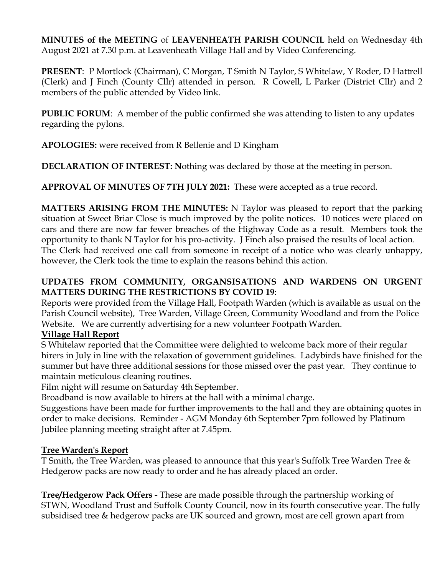**MINUTES of the MEETING** of **LEAVENHEATH PARISH COUNCIL** held on Wednesday 4th August 2021 at 7.30 p.m. at Leavenheath Village Hall and by Video Conferencing.

**PRESENT**: P Mortlock (Chairman), C Morgan, T Smith N Taylor, S Whitelaw, Y Roder, D Hattrell (Clerk) and J Finch (County Cllr) attended in person. R Cowell, L Parker (District Cllr) and 2 members of the public attended by Video link.

**PUBLIC FORUM**: A member of the public confirmed she was attending to listen to any updates regarding the pylons.

**APOLOGIES:** were received from R Bellenie and D Kingham

**DECLARATION OF INTEREST: N**othing was declared by those at the meeting in person.

**APPROVAL OF MINUTES OF 7TH JULY 2021:** These were accepted as a true record.

**MATTERS ARISING FROM THE MINUTES:** N Taylor was pleased to report that the parking situation at Sweet Briar Close is much improved by the polite notices. 10 notices were placed on cars and there are now far fewer breaches of the Highway Code as a result. Members took the opportunity to thank N Taylor for his pro-activity. J Finch also praised the results of local action. The Clerk had received one call from someone in receipt of a notice who was clearly unhappy, however, the Clerk took the time to explain the reasons behind this action.

# **UPDATES FROM COMMUNITY, ORGANSISATIONS AND WARDENS ON URGENT MATTERS DURING THE RESTRICTIONS BY COVID 19**:

Reports were provided from the Village Hall, Footpath Warden (which is available as usual on the Parish Council website), Tree Warden, Village Green, Community Woodland and from the Police Website. We are currently advertising for a new volunteer Footpath Warden.

# **Village Hall Report**

S Whitelaw reported that the Committee were delighted to welcome back more of their regular hirers in July in line with the relaxation of government guidelines. Ladybirds have finished for the summer but have three additional sessions for those missed over the past year. They continue to maintain meticulous cleaning routines.

Film night will resume on Saturday 4th September.

Broadband is now available to hirers at the hall with a minimal charge.

Suggestions have been made for further improvements to the hall and they are obtaining quotes in order to make decisions. Reminder - AGM Monday 6th September 7pm followed by Platinum Jubilee planning meeting straight after at 7.45pm.

# **Tree Warden's Report**

T Smith, the Tree Warden, was pleased to announce that this year's Suffolk Tree Warden Tree & Hedgerow packs are now ready to order and he has already placed an order.

**Tree/Hedgerow Pack Offers -** These are made possible through the partnership working of STWN, Woodland Trust and Suffolk County Council, now in its fourth consecutive year. The fully subsidised tree & hedgerow packs are UK sourced and grown, most are cell grown apart from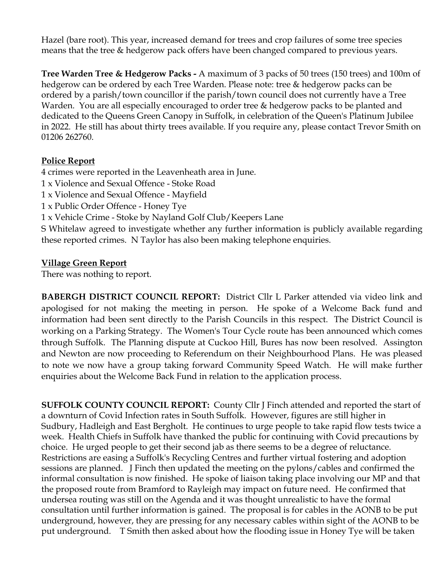Hazel (bare root). This year, increased demand for trees and crop failures of some tree species means that the tree & hedgerow pack offers have been changed compared to previous years.

**Tree Warden Tree & Hedgerow Packs -** A maximum of 3 packs of 50 trees (150 trees) and 100m of hedgerow can be ordered by each Tree Warden. Please note: tree & hedgerow packs can be ordered by a parish/town councillor if the parish/town council does not currently have a Tree Warden. You are all especially encouraged to order tree & hedgerow packs to be planted and dedicated to the Queens Green Canopy in Suffolk, in celebration of the Queen's Platinum Jubilee in 2022. He still has about thirty trees available. If you require any, please contact Trevor Smith on 01206 262760.

## **Police Report**

4 crimes were reported in the Leavenheath area in June. 1 x Violence and Sexual Offence - Stoke Road 1 x Violence and Sexual Offence - Mayfield 1 x Public Order Offence - Honey Tye 1 x Vehicle Crime - Stoke by Nayland Golf Club/Keepers Lane S Whitelaw agreed to investigate whether any further information is publicly available regarding these reported crimes. N Taylor has also been making telephone enquiries.

## **Village Green Report**

There was nothing to report.

**BABERGH DISTRICT COUNCIL REPORT:** District Cllr L Parker attended via video link and apologised for not making the meeting in person. He spoke of a Welcome Back fund and information had been sent directly to the Parish Councils in this respect. The District Council is working on a Parking Strategy. The Women's Tour Cycle route has been announced which comes through Suffolk. The Planning dispute at Cuckoo Hill, Bures has now been resolved. Assington and Newton are now proceeding to Referendum on their Neighbourhood Plans. He was pleased to note we now have a group taking forward Community Speed Watch. He will make further enquiries about the Welcome Back Fund in relation to the application process.

**SUFFOLK COUNTY COUNCIL REPORT:** County Cllr J Finch attended and reported the start of a downturn of Covid Infection rates in South Suffolk. However, figures are still higher in Sudbury, Hadleigh and East Bergholt. He continues to urge people to take rapid flow tests twice a week. Health Chiefs in Suffolk have thanked the public for continuing with Covid precautions by choice. He urged people to get their second jab as there seems to be a degree of reluctance. Restrictions are easing a Suffolk's Recycling Centres and further virtual fostering and adoption sessions are planned. J Finch then updated the meeting on the pylons/cables and confirmed the informal consultation is now finished. He spoke of liaison taking place involving our MP and that the proposed route from Bramford to Rayleigh may impact on future need. He confirmed that undersea routing was still on the Agenda and it was thought unrealistic to have the formal consultation until further information is gained. The proposal is for cables in the AONB to be put underground, however, they are pressing for any necessary cables within sight of the AONB to be put underground. T Smith then asked about how the flooding issue in Honey Tye will be taken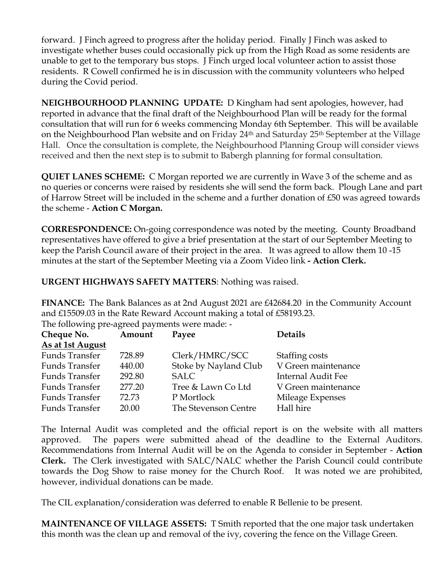forward. J Finch agreed to progress after the holiday period. Finally J Finch was asked to investigate whether buses could occasionally pick up from the High Road as some residents are unable to get to the temporary bus stops. J Finch urged local volunteer action to assist those residents. R Cowell confirmed he is in discussion with the community volunteers who helped during the Covid period.

**NEIGHBOURHOOD PLANNING UPDATE:** D Kingham had sent apologies, however, had reported in advance that the final draft of the Neighbourhood Plan will be ready for the formal consultation that will run for 6 weeks commencing Monday 6th September. This will be available on the Neighbourhood Plan website and on Friday 24<sup>th</sup> and Saturday 25<sup>th</sup> September at the Village Hall. Once the consultation is complete, the Neighbourhood Planning Group will consider views received and then the next step is to submit to Babergh planning for formal consultation.

**QUIET LANES SCHEME:** C Morgan reported we are currently in Wave 3 of the scheme and as no queries or concerns were raised by residents she will send the form back. Plough Lane and part of Harrow Street will be included in the scheme and a further donation of £50 was agreed towards the scheme - **Action C Morgan.** 

**CORRESPONDENCE:** On-going correspondence was noted by the meeting. County Broadband representatives have offered to give a brief presentation at the start of our September Meeting to keep the Parish Council aware of their project in the area. It was agreed to allow them 10 -15 minutes at the start of the September Meeting via a Zoom Video link **- Action Clerk.** 

**URGENT HIGHWAYS SAFETY MATTERS**: Nothing was raised.

**FINANCE:** The Bank Balances as at 2nd August 2021 are £42684.20 in the Community Account and £15509.03 in the Rate Reward Account making a total of £58193.23. The following pre-agreed payments were made: -

| Cheque No.            | Amount | Payee                 | <b>Details</b>      |
|-----------------------|--------|-----------------------|---------------------|
| As at 1st August      |        |                       |                     |
| <b>Funds Transfer</b> | 728.89 | Clerk/HMRC/SCC        | Staffing costs      |
| <b>Funds Transfer</b> | 440.00 | Stoke by Nayland Club | V Green maintenance |
| <b>Funds Transfer</b> | 292.80 | <b>SALC</b>           | Internal Audit Fee  |
| <b>Funds Transfer</b> | 277.20 | Tree & Lawn Co Ltd    | V Green maintenance |
| <b>Funds Transfer</b> | 72.73  | P Mortlock            | Mileage Expenses    |
| <b>Funds Transfer</b> | 20.00  | The Stevenson Centre  | Hall hire           |

The Internal Audit was completed and the official report is on the website with all matters approved. The papers were submitted ahead of the deadline to the External Auditors. Recommendations from Internal Audit will be on the Agenda to consider in September - **Action Clerk.** The Clerk investigated with SALC/NALC whether the Parish Council could contribute towards the Dog Show to raise money for the Church Roof. It was noted we are prohibited, however, individual donations can be made.

The CIL explanation/consideration was deferred to enable R Bellenie to be present.

**MAINTENANCE OF VILLAGE ASSETS:** T Smith reported that the one major task undertaken this month was the clean up and removal of the ivy, covering the fence on the Village Green.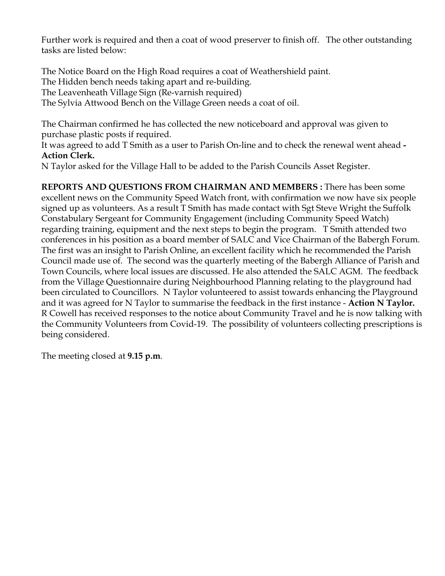Further work is required and then a coat of wood preserver to finish off. The other outstanding tasks are listed below:

The Notice Board on the High Road requires a coat of Weathershield paint. The Hidden bench needs taking apart and re-building. The Leavenheath Village Sign (Re-varnish required) The Sylvia Attwood Bench on the Village Green needs a coat of oil.

The Chairman confirmed he has collected the new noticeboard and approval was given to purchase plastic posts if required.

It was agreed to add T Smith as a user to Parish On-line and to check the renewal went ahead **- Action Clerk.** 

N Taylor asked for the Village Hall to be added to the Parish Councils Asset Register.

**REPORTS AND QUESTIONS FROM CHAIRMAN AND MEMBERS :** There has been some excellent news on the Community Speed Watch front, with confirmation we now have six people signed up as volunteers. As a result T Smith has made contact with Sgt Steve Wright the Suffolk Constabulary Sergeant for Community Engagement (including Community Speed Watch) regarding training, equipment and the next steps to begin the program.T Smith attended two conferences in his position as a board member of SALC and Vice Chairman of the Babergh Forum. The first was an insight to Parish Online, an excellent facility which he recommended the Parish Council made use of. The second was the quarterly meeting of the Babergh Alliance of Parish and Town Councils, where local issues are discussed. He also attended the SALC AGM. The feedback from the Village Questionnaire during Neighbourhood Planning relating to the playground had been circulated to Councillors. N Taylor volunteered to assist towards enhancing the Playground and it was agreed for N Taylor to summarise the feedback in the first instance - **Action N Taylor.** R Cowell has received responses to the notice about Community Travel and he is now talking with the Community Volunteers from Covid-19. The possibility of volunteers collecting prescriptions is being considered.

The meeting closed at **9.15 p.m**.